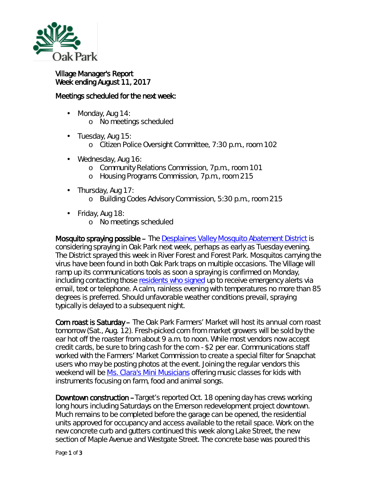

## Village Manager's Report Week ending August 11, 2017

## Meetings scheduled for the next week:

- $\mathbf{r}$ Monday, Aug 14: o No meetings scheduled
- $\cdot$  Tuesday, Aug 15:
	- o Citizen Police Oversight Committee, 7:30 p.m., room 102
- ¥, Wednesday, Aug 16:
	- o Community Relations Commission, 7p.m., room 101
	- o Housing Programs Commission, 7p.m., room 215
- . Thursday, Aug 17:
	- o Building Codes Advisory Commission, 5:30 p.m., room 215
- Friday, Aug 18:
	- o No meetings scheduled

Mosquito spraying possible – The [Desplaines Valley Mosquito Abatement District](http://www.desplainesvalleymad.com/) is considering spraying in Oak Park next week, perhaps as early as Tuesday evening. The District sprayed this week in River Forest and Forest Park. Mosquitos carrying the virus have been found in both Oak Park traps on multiple occasions. The Village will ramp up its communications tools as soon a spraying is confirmed on Monday, including contacting those [residents who signed](http://www.oak-park.us/online-services/community-notification-system) up to receive emergency alerts via email, text or telephone. A calm, rainless evening with temperatures no more than 85 degrees is preferred. Should unfavorable weather conditions prevail, spraying typically is delayed to a subsequent night.

Corn roast is Saturday – The Oak Park Farmers' Market will host its annual corn roast tomorrow (Sat., Aug. 12). Fresh-picked corn from market growers will be sold by the ear hot off the roaster from about 9 a.m. to noon. While most vendors now accept credit cards, be sure to bring cash for the corn - \$2 per ear. Communications staff worked with the Farmers' Market Commission to create a special filter for Snapchat users who may be posting photos at the event. Joining the regular vendors this weekend will be [Ms. Clara's Mini Musicians](http://r20.rs6.net/tn.jsp?f=001GWYVXNwYGCTYdNLbwpFnzwS4VSMzEWUctH_yOv12_so5m37tPJCc8khDWK-x9g2xZUPOqbTFYmwuqOvnYZO1p4KBSgM6ftk_bT6jRPijEvReGpB4DYpmy-TQeS_MDA4I87m6xanj_r_a01TErcOMgXmG463G1J7yEZvfpdfPdpOHc7KMeaU-JuMYejhjB9UNnq5F5xvDsY2VR0PVSExisFLS4vsQO1S1NeIWWEoEzher0uPsHluTzUPIdTKsAAHF4ZnrocUG1QVxRDeM9EeO6SXYoNy0GntRPF56WZpG5MM=&c=D6hU13dELA6FlougMDTPWVGM7GThizfhyk0l6cUR0WTF0Yef6hOeMQ==&ch=eFdhqwa2w_dOKuawvGxUk929zAxbg5TWg_mw0CG09YuMpcx9Vr8Rdw==) offering music classes for kids with instruments focusing on farm, food and animal songs.

Downtown construction –Target's reported Oct. 18 opening day has crews working long hours including Saturdays on the Emerson redevelopment project downtown. Much remains to be completed before the garage can be opened, the residential units approved for occupancy and access available to the retail space. Work on the new concrete curb and gutters continued this week along Lake Street, the new section of Maple Avenue and Westgate Street. The concrete base was poured this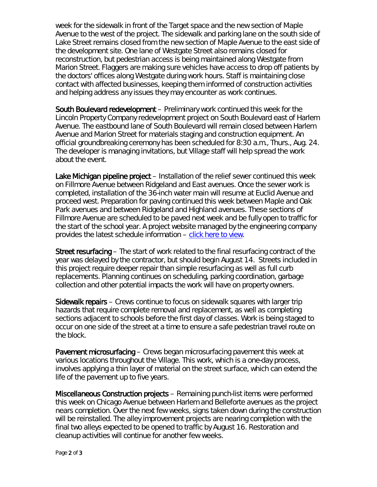week for the sidewalk in front of the Target space and the new section of Maple Avenue to the west of the project. The sidewalk and parking lane on the south side of Lake Street remains closed from the new section of Maple Avenue to the east side of the development site. One lane of Westgate Street also remains closed for reconstruction, but pedestrian access is being maintained along Westgate from Marion Street. Flaggers are making sure vehicles have access to drop off patients by the doctors' offices along Westgate during work hours. Staff is maintaining close contact with affected businesses, keeping them informed of construction activities and helping address any issues they may encounter as work continues.

South Boulevard redevelopment – Preliminary work continued this week for the Lincoln Property Company redevelopment project on South Boulevard east of Harlem Avenue. The eastbound lane of South Boulevard will remain closed between Harlem Avenue and Marion Street for materials staging and construction equipment. An official groundbreaking ceremony has been scheduled for 8:30 a.m., Thurs., Aug. 24. The developer is managing invitations, but Village staff will help spread the work about the event.

Lake Michigan pipeline project – Installation of the relief sewer continued this week on Fillmore Avenue between Ridgeland and East avenues. Once the sewer work is completed, installation of the 36-inch water main will resume at Euclid Avenue and proceed west. Preparation for paving continued this week between Maple and Oak Park avenues and between Ridgeland and Highland avenues. These sections of Fillmore Avenue are scheduled to be paved next week and be fully open to traffic for the start of the school year. A project website managed by the engineering company provides the latest schedule information – [click here to view.](http://www.bnrwcproject.com/index.php?/categories/5-Oak-Park)

Street resurfacing – The start of work related to the final resurfacing contract of the year was delayed by the contractor, but should begin August 14. Streets included in this project require deeper repair than simple resurfacing as well as full curb replacements. Planning continues on scheduling, parking coordination, garbage collection and other potential impacts the work will have on property owners.

Sidewalk repairs – Crews continue to focus on sidewalk squares with larger trip hazards that require complete removal and replacement, as well as completing sections adjacent to schools before the first day of classes. Work is being staged to occur on one side of the street at a time to ensure a safe pedestrian travel route on the block.

Pavement microsurfacing – Crews began microsurfacing pavement this week at various locations throughout the Village. This work, which is a one-day process, involves applying a thin layer of material on the street surface, which can extend the life of the pavement up to five years.

Miscellaneous Construction projects – Remaining punch-list items were performed this week on Chicago Avenue between Harlem and Belleforte avenues as the project nears completion. Over the next few weeks, signs taken down during the construction will be reinstalled. The alley improvement projects are nearing completion with the final two alleys expected to be opened to traffic by August 16. Restoration and cleanup activities will continue for another few weeks.